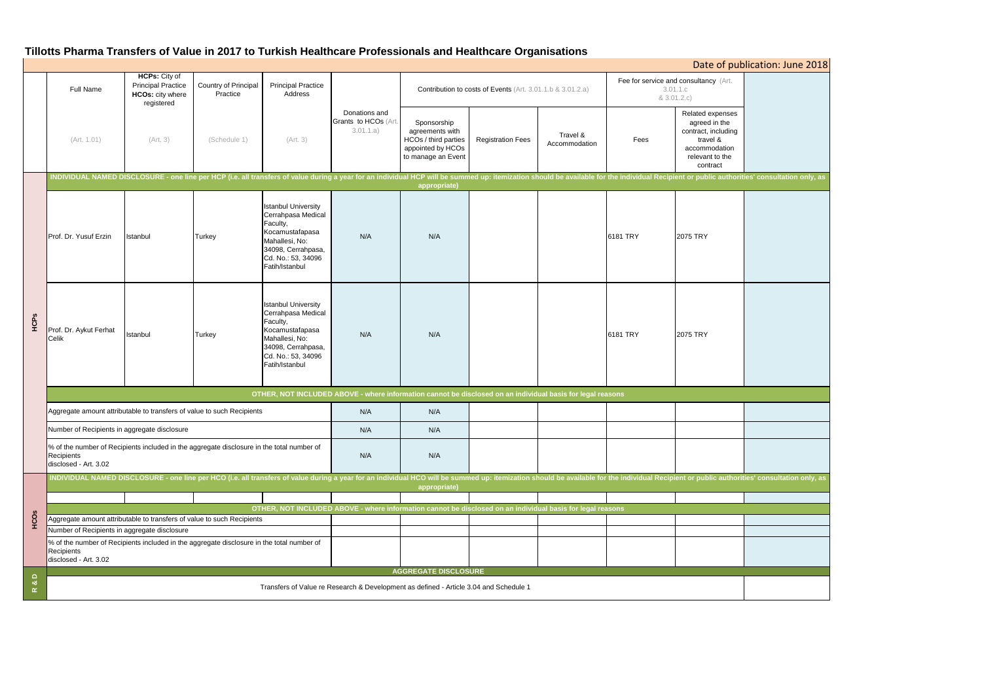# **Tillotts Pharma Transfers of Value in 2017 to Turkish Healthcare Professionals and Healthcare Organisations**

|                 |                                                                                                                                                                                                                                                |                                                                                       |                                  |                                                                                                                                                                 |                                                    |                                                                                                   |                          |                           |                                                                  |                                                                                                                      | Date of publication: June 2018                                                                                                                                                                                                 |  |  |
|-----------------|------------------------------------------------------------------------------------------------------------------------------------------------------------------------------------------------------------------------------------------------|---------------------------------------------------------------------------------------|----------------------------------|-----------------------------------------------------------------------------------------------------------------------------------------------------------------|----------------------------------------------------|---------------------------------------------------------------------------------------------------|--------------------------|---------------------------|------------------------------------------------------------------|----------------------------------------------------------------------------------------------------------------------|--------------------------------------------------------------------------------------------------------------------------------------------------------------------------------------------------------------------------------|--|--|
|                 | Full Name                                                                                                                                                                                                                                      | HCPs: City of<br><b>Principal Practice</b><br>HCOs: city where<br>registered          | Country of Principal<br>Practice | <b>Principal Practice</b><br>Address                                                                                                                            |                                                    | Contribution to costs of Events (Art. 3.01.1.b & 3.01.2.a)                                        |                          |                           | Fee for service and consultancy (Art.<br>3.01.1.c<br>& 3.01.2.c) |                                                                                                                      |                                                                                                                                                                                                                                |  |  |
|                 | (Art. 1.01)                                                                                                                                                                                                                                    | (Art. 3)                                                                              | (Schedule 1)                     | (Art. 3)                                                                                                                                                        | Donations and<br>Grants to HCOs (Art.<br>3.01.1.a) | Sponsorship<br>agreements with<br>HCOs / third parties<br>appointed by HCOs<br>to manage an Event | <b>Registration Fees</b> | Travel &<br>Accommodation | Fees                                                             | Related expenses<br>agreed in the<br>contract, including<br>travel &<br>accommodation<br>relevant to the<br>contract |                                                                                                                                                                                                                                |  |  |
|                 |                                                                                                                                                                                                                                                |                                                                                       |                                  |                                                                                                                                                                 |                                                    |                                                                                                   |                          |                           |                                                                  |                                                                                                                      | INDIVIDUAL NAMED DISCLOSURE - one line per HCP (i.e. all transfers of value during a year for an individual HCP will be summed up: itemization should be available for the individual Recipient or public authorities' consult |  |  |
| HCPS            | Prof. Dr. Yusuf Erzin                                                                                                                                                                                                                          | Istanbul                                                                              | Turkey                           | <b>Istanbul University</b><br>Cerrahpasa Medical<br>Faculty,<br>Kocamustafapasa<br>Mahallesi, No:<br>34098, Cerrahpasa,<br>Cd. No.: 53, 34096<br>Fatih/Istanbul | N/A                                                | appropriate)<br>N/A                                                                               |                          |                           | 6181 TRY                                                         | 2075 TRY                                                                                                             |                                                                                                                                                                                                                                |  |  |
|                 | Prof. Dr. Aykut Ferhat<br>Celik                                                                                                                                                                                                                | Istanbul                                                                              | <b>Turkey</b>                    | <b>Istanbul University</b><br>Cerrahpasa Medical<br>Faculty,<br>Kocamustafapasa<br>Mahallesi, No:<br>34098, Cerrahpasa,<br>Cd. No.: 53, 34096<br>Fatih/Istanbul | N/A                                                | N/A                                                                                               |                          |                           | 6181 TRY                                                         | 2075 TRY                                                                                                             |                                                                                                                                                                                                                                |  |  |
|                 | OTHER, NOT INCLUDED ABOVE - where information cannot be disclosed on an individual basis for legal reasons                                                                                                                                     |                                                                                       |                                  |                                                                                                                                                                 |                                                    |                                                                                                   |                          |                           |                                                                  |                                                                                                                      |                                                                                                                                                                                                                                |  |  |
|                 | Aggregate amount attributable to transfers of value to such Recipients                                                                                                                                                                         |                                                                                       |                                  |                                                                                                                                                                 | N/A                                                | N/A                                                                                               |                          |                           |                                                                  |                                                                                                                      |                                                                                                                                                                                                                                |  |  |
|                 | Number of Recipients in aggregate disclosure                                                                                                                                                                                                   |                                                                                       |                                  |                                                                                                                                                                 | N/A                                                | N/A                                                                                               |                          |                           |                                                                  |                                                                                                                      |                                                                                                                                                                                                                                |  |  |
|                 | % of the number of Recipients included in the aggregate disclosure in the total number of<br>Recipients<br>disclosed - Art. 3.02                                                                                                               |                                                                                       |                                  |                                                                                                                                                                 | N/A                                                | N/A                                                                                               |                          |                           |                                                                  |                                                                                                                      |                                                                                                                                                                                                                                |  |  |
| HCOS            | INDIVIDUAL NAMED DISCLOSURE - one line per HCO (i.e. all transfers of value during a year for an individual HCO will be summed up: itemization should be available for the individual Recipient or public authorities' consult<br>appropriate) |                                                                                       |                                  |                                                                                                                                                                 |                                                    |                                                                                                   |                          |                           |                                                                  |                                                                                                                      |                                                                                                                                                                                                                                |  |  |
|                 |                                                                                                                                                                                                                                                |                                                                                       |                                  |                                                                                                                                                                 |                                                    |                                                                                                   |                          |                           |                                                                  |                                                                                                                      |                                                                                                                                                                                                                                |  |  |
|                 | OTHER, NOT INCLUDED ABOVE - where information cannot be disclosed on an individual basis for legal reasons                                                                                                                                     |                                                                                       |                                  |                                                                                                                                                                 |                                                    |                                                                                                   |                          |                           |                                                                  |                                                                                                                      |                                                                                                                                                                                                                                |  |  |
|                 | Aggregate amount attributable to transfers of value to such Recipients                                                                                                                                                                         |                                                                                       |                                  |                                                                                                                                                                 |                                                    |                                                                                                   |                          |                           |                                                                  |                                                                                                                      |                                                                                                                                                                                                                                |  |  |
|                 | Number of Recipients in aggregate disclosure                                                                                                                                                                                                   |                                                                                       |                                  |                                                                                                                                                                 |                                                    |                                                                                                   |                          |                           |                                                                  |                                                                                                                      |                                                                                                                                                                                                                                |  |  |
|                 | % of the number of Recipients included in the aggregate disclosure in the total number of<br>Recipients<br>disclosed - Art. 3.02                                                                                                               |                                                                                       |                                  |                                                                                                                                                                 |                                                    |                                                                                                   |                          |                           |                                                                  |                                                                                                                      |                                                                                                                                                                                                                                |  |  |
| $\Omega$        | <b>AGGREGATE DISCLOSURE</b>                                                                                                                                                                                                                    |                                                                                       |                                  |                                                                                                                                                                 |                                                    |                                                                                                   |                          |                           |                                                                  |                                                                                                                      |                                                                                                                                                                                                                                |  |  |
| •ಶ<br>$\propto$ |                                                                                                                                                                                                                                                | Transfers of Value re Research & Development as defined - Article 3.04 and Schedule 1 |                                  |                                                                                                                                                                 |                                                    |                                                                                                   |                          |                           |                                                                  |                                                                                                                      |                                                                                                                                                                                                                                |  |  |
|                 |                                                                                                                                                                                                                                                |                                                                                       |                                  |                                                                                                                                                                 |                                                    |                                                                                                   |                          |                           |                                                                  |                                                                                                                      |                                                                                                                                                                                                                                |  |  |

| Date of publication: June 2018                                                                             |                                           |  |  |  |  |  |  |
|------------------------------------------------------------------------------------------------------------|-------------------------------------------|--|--|--|--|--|--|
| sultancy (Art.                                                                                             |                                           |  |  |  |  |  |  |
| ated expenses<br>greed in the<br>tract, including<br>travel &<br>commodation<br>elevant to the<br>contract |                                           |  |  |  |  |  |  |
|                                                                                                            | public authorities' consultation only, as |  |  |  |  |  |  |
| <b>TRY</b>                                                                                                 |                                           |  |  |  |  |  |  |
| <b>TRY</b>                                                                                                 |                                           |  |  |  |  |  |  |
|                                                                                                            |                                           |  |  |  |  |  |  |
|                                                                                                            |                                           |  |  |  |  |  |  |
|                                                                                                            |                                           |  |  |  |  |  |  |
|                                                                                                            |                                           |  |  |  |  |  |  |
| r public authorities' consultation only, as                                                                |                                           |  |  |  |  |  |  |
|                                                                                                            |                                           |  |  |  |  |  |  |
|                                                                                                            |                                           |  |  |  |  |  |  |
|                                                                                                            |                                           |  |  |  |  |  |  |
|                                                                                                            |                                           |  |  |  |  |  |  |
|                                                                                                            |                                           |  |  |  |  |  |  |
|                                                                                                            |                                           |  |  |  |  |  |  |